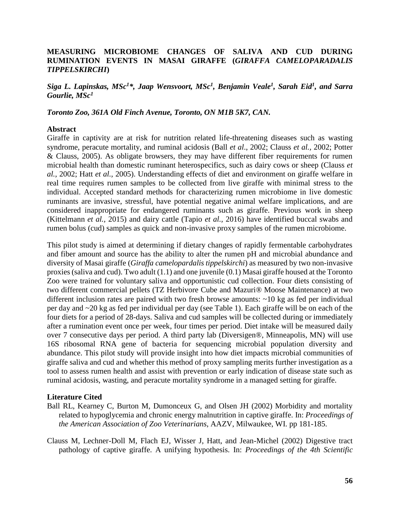## **MEASURING MICROBIOME CHANGES OF SALIVA AND CUD DURING RUMINATION EVENTS IN MASAI GIRAFFE (***GIRAFFA CAMELOPARADALIS TIPPELSKIRCHI***)**

*Siga L. Lapinskas, MSc<sup>1</sup>\*, Jaap Wensvoort, MSc<sup>1</sup> , Benjamin Veale<sup>1</sup> , Sarah Eid<sup>1</sup> , and Sarra Gourlie, MSc<sup>1</sup>*

*Toronto Zoo, 361A Old Finch Avenue, Toronto, ON M1B 5K7, CAN.*

## **Abstract**

Giraffe in captivity are at risk for nutrition related life-threatening diseases such as wasting syndrome, peracute mortality, and ruminal acidosis (Ball *et al*., 2002; Clauss *et al.,* 2002; Potter & Clauss, 2005). As obligate browsers, they may have different fiber requirements for rumen microbial health than domestic ruminant heterospecifics, such as dairy cows or sheep (Clauss *et al.,* 2002; Hatt *et al.,* 2005). Understanding effects of diet and environment on giraffe welfare in real time requires rumen samples to be collected from live giraffe with minimal stress to the individual. Accepted standard methods for characterizing rumen microbiome in live domestic ruminants are invasive, stressful, have potential negative animal welfare implications, and are considered inappropriate for endangered ruminants such as giraffe. Previous work in sheep (Kittelmann *et al.,* 2015) and dairy cattle (Tapio *et al.,* 2016) have identified buccal swabs and rumen bolus (cud) samples as quick and non-invasive proxy samples of the rumen microbiome.

This pilot study is aimed at determining if dietary changes of rapidly fermentable carbohydrates and fiber amount and source has the ability to alter the rumen pH and microbial abundance and diversity of Masai giraffe (*Giraffa camelopardalis tippelskirchi*) as measured by two non-invasive proxies (saliva and cud). Two adult (1.1) and one juvenile (0.1) Masai giraffe housed at the Toronto Zoo were trained for voluntary saliva and opportunistic cud collection. Four diets consisting of two different commercial pellets (TZ Herbivore Cube and Mazuri® Moose Maintenance) at two different inclusion rates are paired with two fresh browse amounts: ~10 kg as fed per individual per day and ~20 kg as fed per individual per day (see Table 1). Each giraffe will be on each of the four diets for a period of 28-days. Saliva and cud samples will be collected during or immediately after a rumination event once per week, four times per period. Diet intake will be measured daily over 7 consecutive days per period. A third party lab (Diversigen®, Minneapolis, MN) will use 16S ribosomal RNA gene of bacteria for sequencing microbial population diversity and abundance. This pilot study will provide insight into how diet impacts microbial communities of giraffe saliva and cud and whether this method of proxy sampling merits further investigation as a tool to assess rumen health and assist with prevention or early indication of disease state such as ruminal acidosis, wasting, and peracute mortality syndrome in a managed setting for giraffe.

## **Literature Cited**

- Ball RL, Kearney C, Burton M, Dumonceux G, and Olsen JH (2002) Morbidity and mortality related to hypoglycemia and chronic energy malnutrition in captive giraffe. In: *Proceedings of the American Association of Zoo Veterinarians*, AAZV, Milwaukee, WI. pp 181-185.
- Clauss M, Lechner-Doll M, Flach EJ, Wisser J, Hatt, and Jean-Michel (2002) Digestive tract pathology of captive giraffe. A unifying hypothesis. In: *Proceedings of the 4th Scientific*